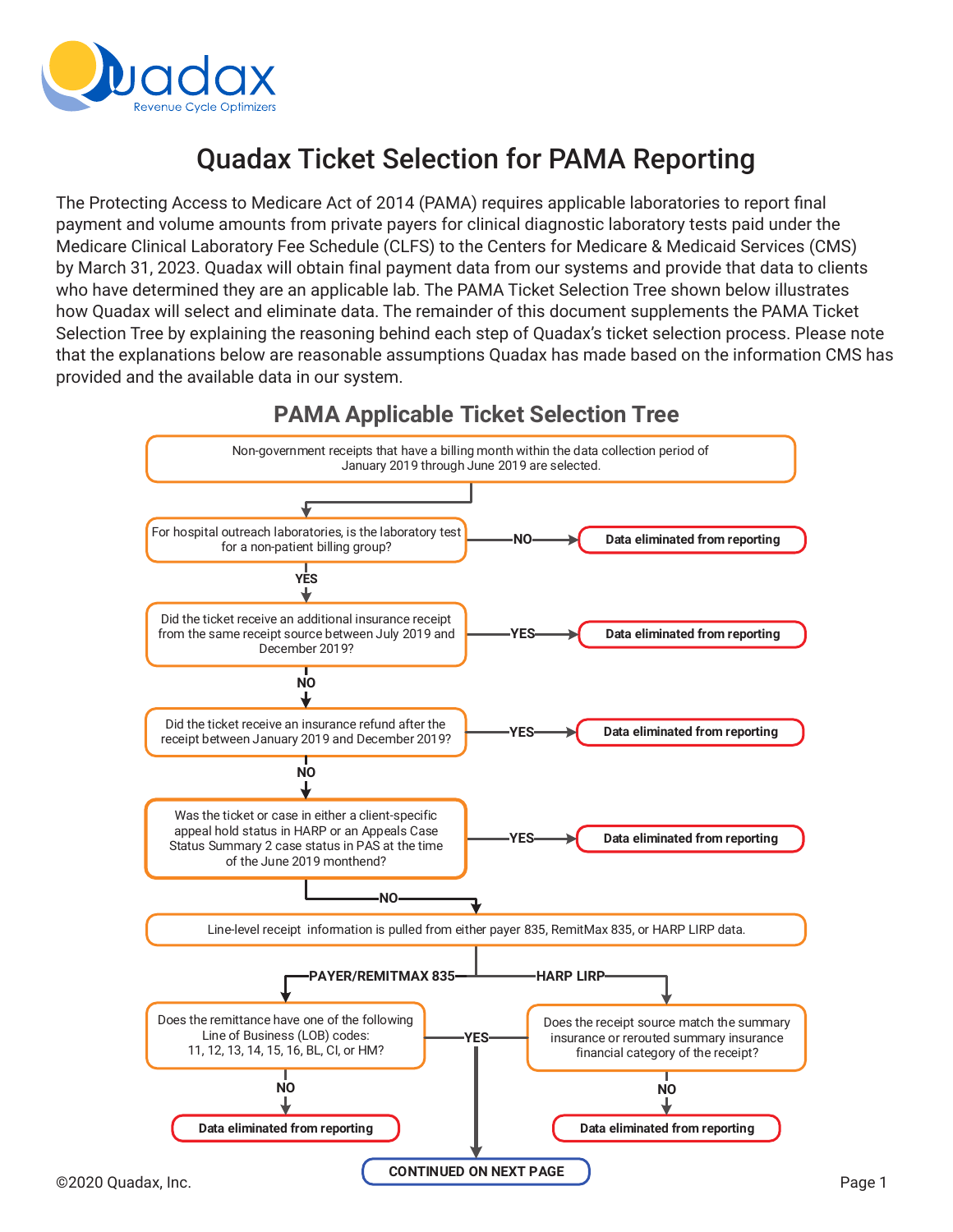

# **Quadax Ticket Selection for PAMA Reporting**

The Protecting Access to Medicare Act of 2014 (PAMA) requires applicable laboratories to report final payment and volume amounts from private payers for clinical diagnostic laboratory tests paid under the Medicare Clinical Laboratory Fee Schedule (CLFS) to the Centers for Medicare & Medicaid Services (CMS) by March 31, 2023. Quadax will obtain final payment data from our systems and provide that data to clients who have determined they are an applicable lab. The PAMA Ticket Selection Tree shown below illustrates how Quadax will select and eliminate data. The remainder of this document supplements the PAMA Ticket Selection Tree by explaining the reasoning behind each step of Quadax's ticket selection process. Please note that the explanations below are reasonable assumptions Quadax has made based on the information CMS has provided and the available data in our system.



**PAMA Applicable Ticket Selection Tree**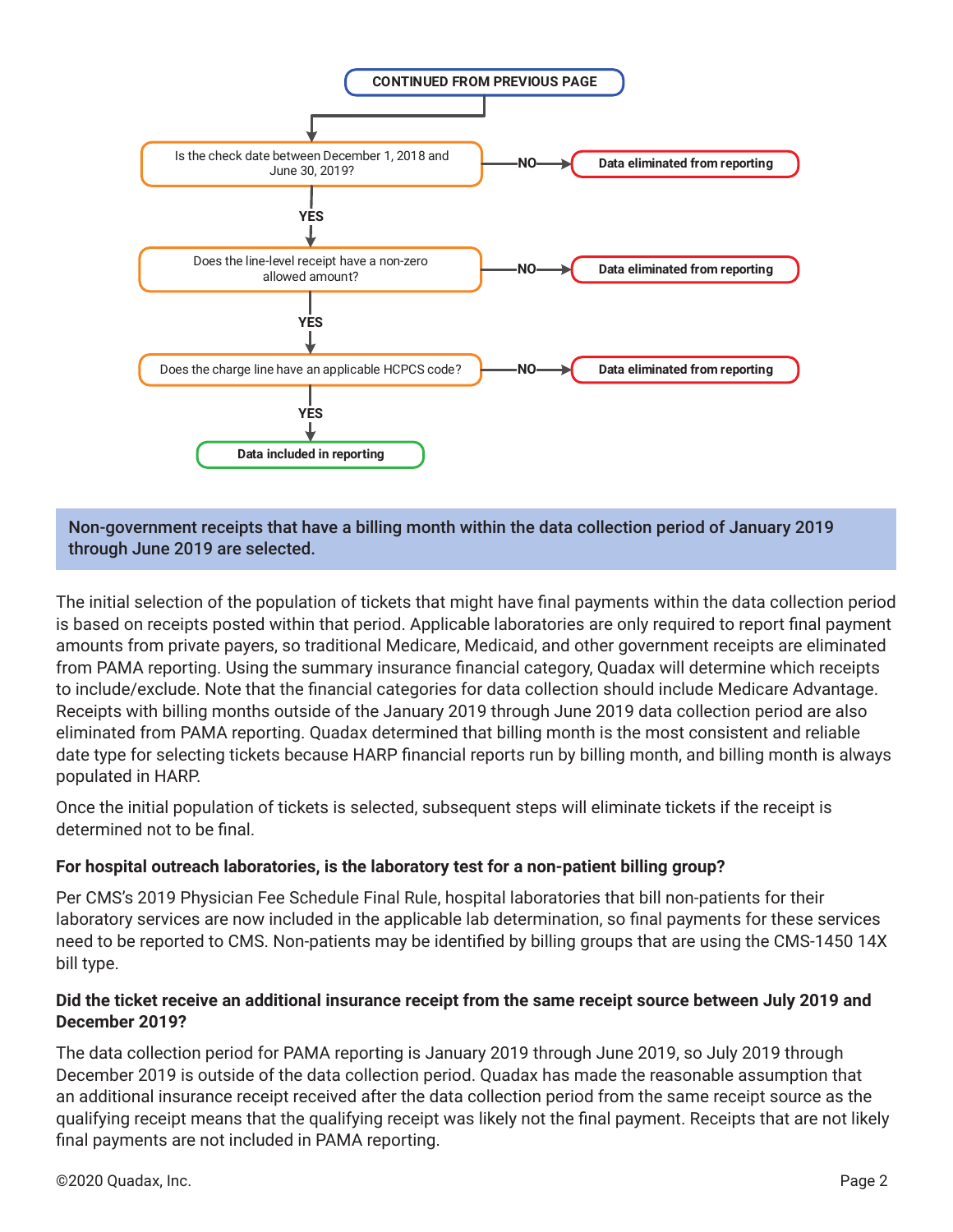

Non-government receipts that have a billing month within the data collection period of January 2019 through June 2019 are selected.

The initial selection of the population of tickets that might have final payments within the data collection period is based on receipts posted within that period. Applicable laboratories are only required to report final payment amounts from private payers, so traditional Medicare, Medicaid, and other government receipts are eliminated from PAMA reporting. Using the summary insurance financial category, Quadax will determine which receipts to include/exclude. Note that the financial categories for data collection should include Medicare Advantage. Receipts with billing months outside of the January 2019 through June 2019 data collection period are also eliminated from PAMA reporting. Quadax determined that billing month is the most consistent and reliable date type for selecting tickets because HARP financial reports run by billing month, and billing month is always populated in HARP.

Once the initial population of tickets is selected, subsequent steps will eliminate tickets if the receipt is determined not to be final.

# **For hospital outreach laboratories, is the laboratory test for a non-patient billing group?**

Per CMS's 2019 Physician Fee Schedule Final Rule, hospital laboratories that bill non-patients for their laboratory services are now included in the applicable lab determination, so final payments for these services need to be reported to CMS. Non-patients may be identified by billing groups that are using the CMS-1450 14X bill type.

## **Did the ticket receive an additional insurance receipt from the same receipt source between July 2019 and December 2019?**

The data collection period for PAMA reporting is January 2019 through June 2019, so July 2019 through December 2019 is outside of the data collection period. Quadax has made the reasonable assumption that an additional insurance receipt received after the data collection period from the same receipt source as the qualifying receipt means that the qualifying receipt was likely not the final payment. Receipts that are not likely final payments are not included in PAMA reporting.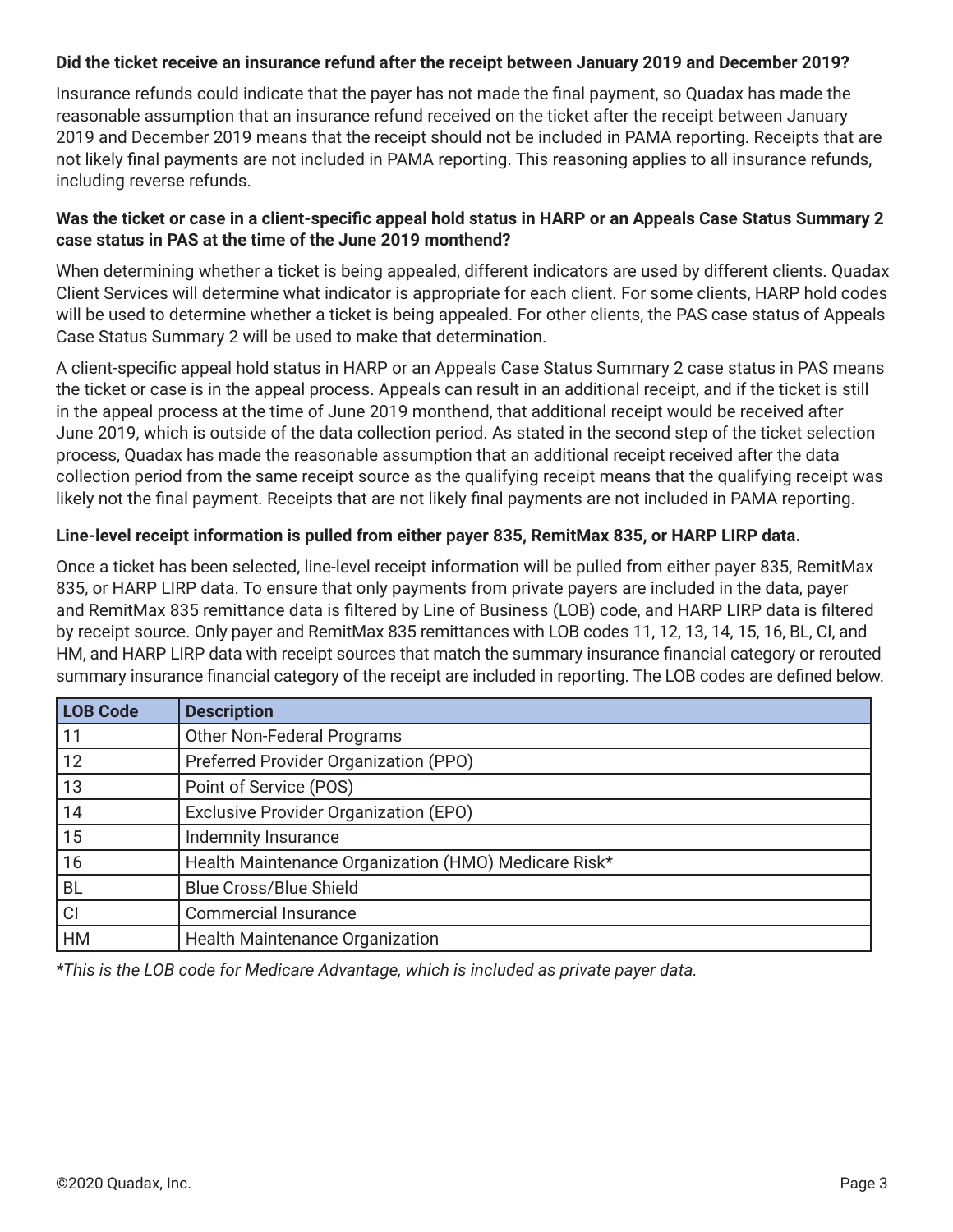#### **Did the ticket receive an insurance refund after the receipt between January 2019 and December 2019?**

Insurance refunds could indicate that the payer has not made the final payment, so Quadax has made the reasonable assumption that an insurance refund received on the ticket after the receipt between January 2019 and December 2019 means that the receipt should not be included in PAMA reporting. Receipts that are not likely final payments are not included in PAMA reporting. This reasoning applies to all insurance refunds, including reverse refunds.

## **Was the ticket or case in a client-specific appeal hold status in HARP or an Appeals Case Status Summary 2 case status in PAS at the time of the June 2019 monthend?**

When determining whether a ticket is being appealed, different indicators are used by different clients. Quadax Client Services will determine what indicator is appropriate for each client. For some clients, HARP hold codes will be used to determine whether a ticket is being appealed. For other clients, the PAS case status of Appeals Case Status Summary 2 will be used to make that determination.

A client-specific appeal hold status in HARP or an Appeals Case Status Summary 2 case status in PAS means the ticket or case is in the appeal process. Appeals can result in an additional receipt, and if the ticket is still in the appeal process at the time of June 2019 monthend, that additional receipt would be received after June 2019, which is outside of the data collection period. As stated in the second step of the ticket selection process, Quadax has made the reasonable assumption that an additional receipt received after the data collection period from the same receipt source as the qualifying receipt means that the qualifying receipt was likely not the final payment. Receipts that are not likely final payments are not included in PAMA reporting.

## **Line-level receipt information is pulled from either payer 835, RemitMax 835, or HARP LIRP data.**

Once a ticket has been selected, line-level receipt information will be pulled from either payer 835, RemitMax 835, or HARP LIRP data. To ensure that only payments from private payers are included in the data, payer and RemitMax 835 remittance data is filtered by Line of Business (LOB) code, and HARP LIRP data is filtered by receipt source. Only payer and RemitMax 835 remittances with LOB codes 11, 12, 13, 14, 15, 16, BL, CI, and HM, and HARP LIRP data with receipt sources that match the summary insurance financial category or rerouted summary insurance financial category of the receipt are included in reporting. The LOB codes are defined below.

| <b>LOB Code</b> | <b>Description</b>                                   |
|-----------------|------------------------------------------------------|
| 11              | <b>Other Non-Federal Programs</b>                    |
| 12              | Preferred Provider Organization (PPO)                |
| 13              | Point of Service (POS)                               |
| 14              | Exclusive Provider Organization (EPO)                |
| 15              | <b>Indemnity Insurance</b>                           |
| 16              | Health Maintenance Organization (HMO) Medicare Risk* |
| <b>BL</b>       | <b>Blue Cross/Blue Shield</b>                        |
| CI              | <b>Commercial Insurance</b>                          |
| <b>HM</b>       | <b>Health Maintenance Organization</b>               |

*\*This is the LOB code for Medicare Advantage, which is included as private payer data.*